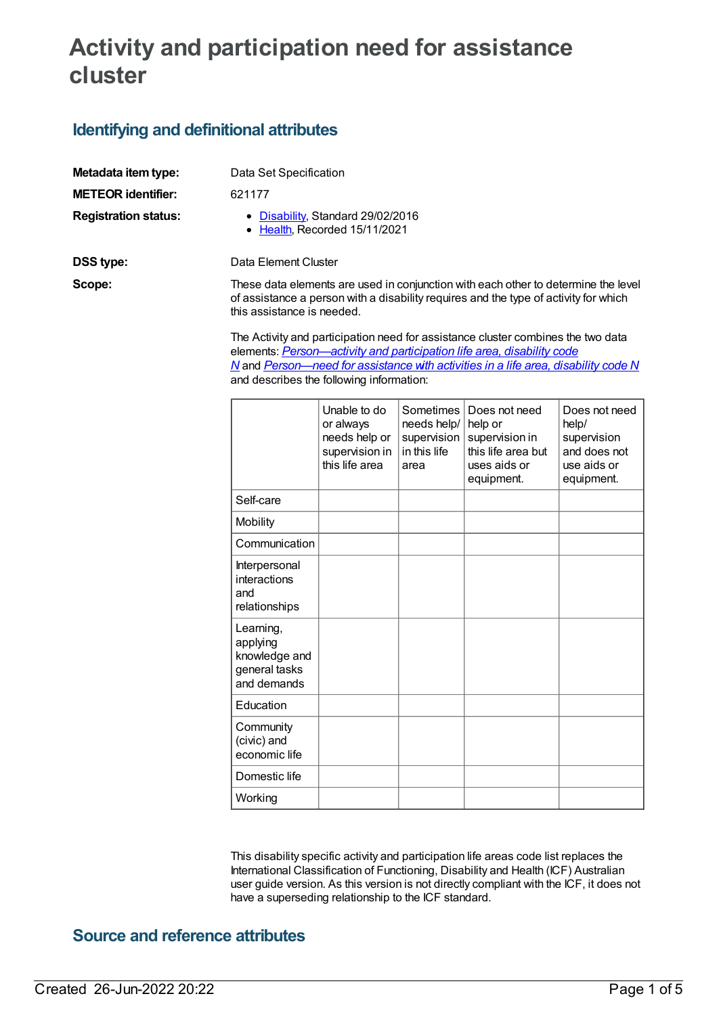# **Activity and participation need for assistance cluster**

### **Identifying and definitional attributes**

| Metadata item type:         | Data Set Specification                                                                                                                                                                                   |
|-----------------------------|----------------------------------------------------------------------------------------------------------------------------------------------------------------------------------------------------------|
| <b>METEOR identifier:</b>   | 621177                                                                                                                                                                                                   |
| <b>Registration status:</b> | • Disability, Standard 29/02/2016<br>• Health, Recorded 15/11/2021                                                                                                                                       |
| DSS type:                   | Data Element Cluster                                                                                                                                                                                     |
| Scope:                      | These data elements are used in conjunction with each other to determine the level<br>of assistance a person with a disability requires and the type of activity for which<br>this assistance is needed. |

The Activity and participation need for assistance cluster combines the two data elements: *[Person—activity](file:///content/621184) and participation life area, disability code N* and *[Person—need](file:///content/680510) for assistance with activities in a life area, disability code N* and describes the following information:

|                                                                        | Unable to do<br>or always<br>needs help or<br>supervision in<br>this life area | Sometimes<br>needs help/<br>supervision<br>in this life<br>area | Does not need<br>help or<br>supervision in<br>this life area but<br>uses aids or<br>equipment. | Does not need<br>help/<br>supervision<br>and does not<br>use aids or<br>equipment. |
|------------------------------------------------------------------------|--------------------------------------------------------------------------------|-----------------------------------------------------------------|------------------------------------------------------------------------------------------------|------------------------------------------------------------------------------------|
| Self-care                                                              |                                                                                |                                                                 |                                                                                                |                                                                                    |
| Mobility                                                               |                                                                                |                                                                 |                                                                                                |                                                                                    |
| Communication                                                          |                                                                                |                                                                 |                                                                                                |                                                                                    |
| Interpersonal<br>interactions<br>and<br>relationships                  |                                                                                |                                                                 |                                                                                                |                                                                                    |
| Learning,<br>applying<br>knowledge and<br>general tasks<br>and demands |                                                                                |                                                                 |                                                                                                |                                                                                    |
| Education                                                              |                                                                                |                                                                 |                                                                                                |                                                                                    |
| Community<br>(civic) and<br>economic life                              |                                                                                |                                                                 |                                                                                                |                                                                                    |
| Domestic life                                                          |                                                                                |                                                                 |                                                                                                |                                                                                    |
| Working                                                                |                                                                                |                                                                 |                                                                                                |                                                                                    |

This disability specific activity and participation life areas code list replaces the International Classification of Functioning, Disability and Health (ICF) Australian user guide version. As this version is not directly compliant with the ICF, it does not have a superseding relationship to the ICF standard.

### **Source and reference attributes**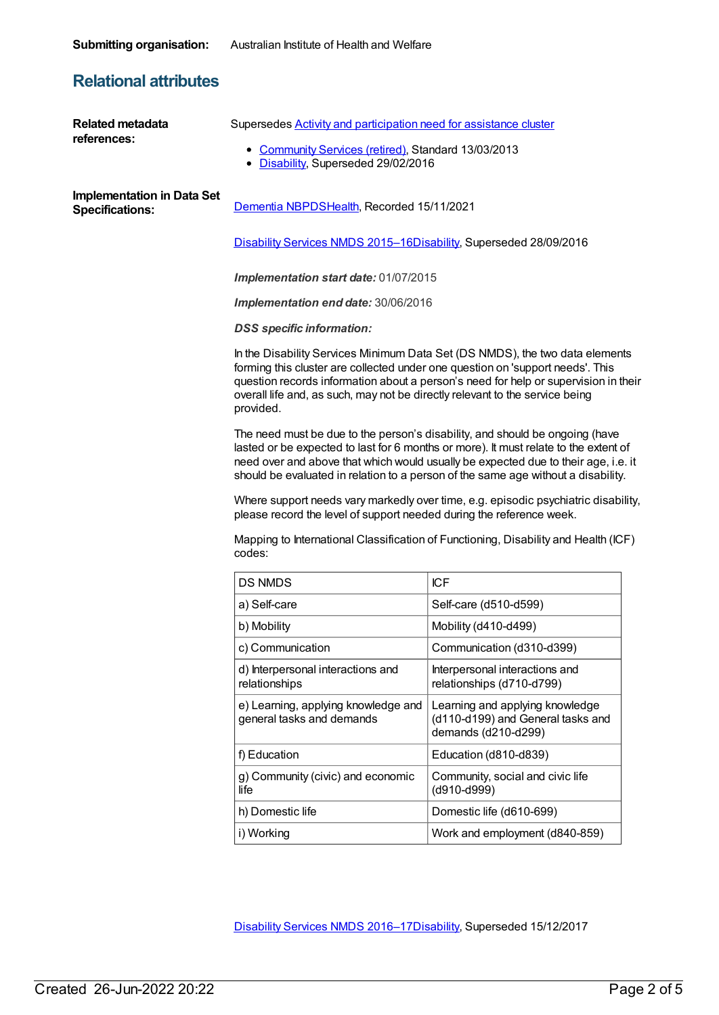### **Relational attributes**

| <b>Related metadata</b><br>references:                      | Supersedes <b>Activity and participation need for assistance cluster</b><br>• Community Services (retired), Standard 13/03/2013<br>• Disability, Superseded 29/02/2016                                                                                                                                                                             |                                                                                             |  |  |
|-------------------------------------------------------------|----------------------------------------------------------------------------------------------------------------------------------------------------------------------------------------------------------------------------------------------------------------------------------------------------------------------------------------------------|---------------------------------------------------------------------------------------------|--|--|
| <b>Implementation in Data Set</b><br><b>Specifications:</b> | Dementia NBPDSHealth, Recorded 15/11/2021                                                                                                                                                                                                                                                                                                          |                                                                                             |  |  |
|                                                             | Disability Services NMDS 2015-16Disability, Superseded 28/09/2016                                                                                                                                                                                                                                                                                  |                                                                                             |  |  |
|                                                             | Implementation start date: 01/07/2015                                                                                                                                                                                                                                                                                                              |                                                                                             |  |  |
|                                                             | Implementation end date: 30/06/2016                                                                                                                                                                                                                                                                                                                |                                                                                             |  |  |
|                                                             | <b>DSS</b> specific information:                                                                                                                                                                                                                                                                                                                   |                                                                                             |  |  |
|                                                             | In the Disability Services Minimum Data Set (DS NMDS), the two data elements<br>forming this cluster are collected under one question on 'support needs'. This<br>question records information about a person's need for help or supervision in their<br>overall life and, as such, may not be directly relevant to the service being<br>provided. |                                                                                             |  |  |
|                                                             | The need must be due to the person's disability, and should be ongoing (have<br>lasted or be expected to last for 6 months or more). It must relate to the extent of<br>need over and above that which would usually be expected due to their age, i.e. it<br>should be evaluated in relation to a person of the same age without a disability.    |                                                                                             |  |  |
|                                                             | Where support needs vary markedly over time, e.g. episodic psychiatric disability,<br>please record the level of support needed during the reference week.                                                                                                                                                                                         |                                                                                             |  |  |
|                                                             | Mapping to International Classification of Functioning, Disability and Health (ICF)<br>codes:                                                                                                                                                                                                                                                      |                                                                                             |  |  |
|                                                             | <b>DS NMDS</b>                                                                                                                                                                                                                                                                                                                                     | <b>ICF</b>                                                                                  |  |  |
|                                                             | a) Self-care                                                                                                                                                                                                                                                                                                                                       | Self-care (d510-d599)                                                                       |  |  |
|                                                             | b) Mobility                                                                                                                                                                                                                                                                                                                                        | Mobility (d410-d499)                                                                        |  |  |
|                                                             | c) Communication                                                                                                                                                                                                                                                                                                                                   | Communication (d310-d399)                                                                   |  |  |
|                                                             | d) Interpersonal interactions and<br>relationships                                                                                                                                                                                                                                                                                                 | Interpersonal interactions and<br>relationships (d710-d799)                                 |  |  |
|                                                             | e) Learning, applying knowledge and<br>general tasks and demands                                                                                                                                                                                                                                                                                   | Learning and applying knowledge<br>(d110-d199) and General tasks and<br>demands (d210-d299) |  |  |
|                                                             | f) Education                                                                                                                                                                                                                                                                                                                                       | Education (d810-d839)                                                                       |  |  |
|                                                             | g) Community (civic) and economic<br>life                                                                                                                                                                                                                                                                                                          | Community, social and civic life<br>(d910-d999)                                             |  |  |
|                                                             | h) Domestic life                                                                                                                                                                                                                                                                                                                                   | Domestic life (d610-699)                                                                    |  |  |
|                                                             | i) Working                                                                                                                                                                                                                                                                                                                                         | Work and employment (d840-859)                                                              |  |  |
|                                                             |                                                                                                                                                                                                                                                                                                                                                    |                                                                                             |  |  |

[Disability](https://meteor.aihw.gov.au/content/637867) Services NMDS 2016–1[7Disability](https://meteor.aihw.gov.au/RegistrationAuthority/16), Superseded 15/12/2017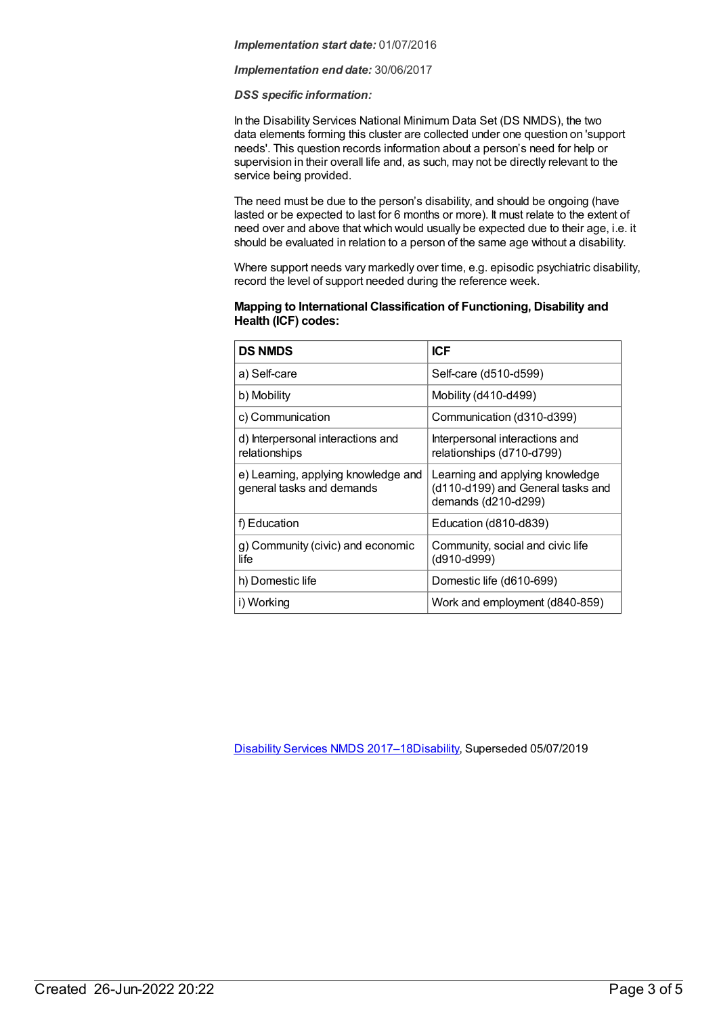#### *Implementation start date:* 01/07/2016

#### *Implementation end date:* 30/06/2017

#### *DSS specific information:*

In the Disability Services National Minimum Data Set (DS NMDS), the two data elements forming this cluster are collected under one question on 'support needs'. This question records information about a person's need for help or supervision in their overall life and, as such, may not be directly relevant to the service being provided.

The need must be due to the person's disability, and should be ongoing (have lasted or be expected to last for 6 months or more). It must relate to the extent of need over and above that which would usually be expected due to their age, i.e. it should be evaluated in relation to a person of the same age without a disability.

Where support needs vary markedly over time, e.g. episodic psychiatric disability, record the level of support needed during the reference week.

#### **Mapping to International Classification of Functioning, Disability and Health (ICF) codes:**

| <b>DS NMDS</b>                                                   | <b>ICF</b>                                                                                  |
|------------------------------------------------------------------|---------------------------------------------------------------------------------------------|
| a) Self-care                                                     | Self-care (d510-d599)                                                                       |
| b) Mobility                                                      | Mobility (d410-d499)                                                                        |
| c) Communication                                                 | Communication (d310-d399)                                                                   |
| d) Interpersonal interactions and<br>relationships               | Interpersonal interactions and<br>relationships (d710-d799)                                 |
| e) Learning, applying knowledge and<br>general tasks and demands | Learning and applying knowledge<br>(d110-d199) and General tasks and<br>demands (d210-d299) |
| f) Education                                                     | Education (d810-d839)                                                                       |
| g) Community (civic) and economic<br>life                        | Community, social and civic life<br>(d910-d999)                                             |
| h) Domestic life                                                 | Domestic life (d610-699)                                                                    |
| i) Working                                                       | Work and employment (d840-859)                                                              |

[Disability](https://meteor.aihw.gov.au/content/664954) Services NMDS 2017–1[8Disability](https://meteor.aihw.gov.au/RegistrationAuthority/16), Superseded 05/07/2019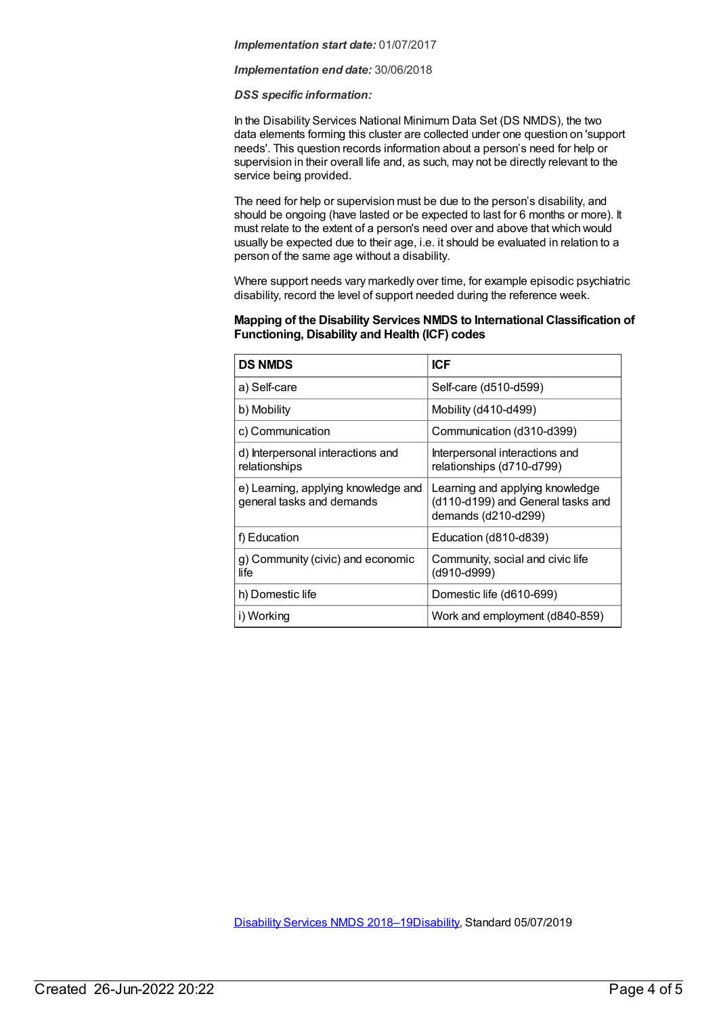#### *Implementation start date:* 01/07/2017

#### *Implementation end date:* 30/06/2018

#### *DSS specific information:*

In the Disability Services National Minimum Data Set (DS NMDS), the two data elements forming this cluster are collected under one question on 'support needs'. This question records information about a person's need for help or supervision in their overall life and, as such, may not be directly relevant to the service being provided.

The need for help or supervision must be due to the person's disability, and should be ongoing (have lasted or be expected to last for 6 months or more). It must relate to the extent of a person's need over and above that which would usually be expected due to their age, i.e. it should be evaluated in relation to a person of the same age without a disability.

Where support needs vary markedly over time, for example episodic psychiatric disability, record the level of support needed during the reference week.

#### **Mapping of the Disability Services NMDS to International Classification of Functioning, Disability and Health (ICF) codes**

| <b>DS NMDS</b>                                                   | <b>ICF</b>                                                                                  |
|------------------------------------------------------------------|---------------------------------------------------------------------------------------------|
| a) Self-care                                                     | Self-care (d510-d599)                                                                       |
| b) Mobility                                                      | Mobility (d410-d499)                                                                        |
| c) Communication                                                 | Communication (d310-d399)                                                                   |
| d) Interpersonal interactions and<br>relationships               | Interpersonal interactions and<br>relationships (d710-d799)                                 |
| e) Learning, applying knowledge and<br>general tasks and demands | Learning and applying knowledge<br>(d110-d199) and General tasks and<br>demands (d210-d299) |
| f) Education                                                     | Education (d810-d839)                                                                       |
| g) Community (civic) and economic<br>life                        | Community, social and civic life<br>(d910-d999)                                             |
| h) Domestic life                                                 | Domestic life (d610-699)                                                                    |
| i) Working                                                       | Work and employment (d840-859)                                                              |

[Disability](https://meteor.aihw.gov.au/content/698074) Services NMDS 2018–1[9Disability](https://meteor.aihw.gov.au/RegistrationAuthority/16), Standard 05/07/2019